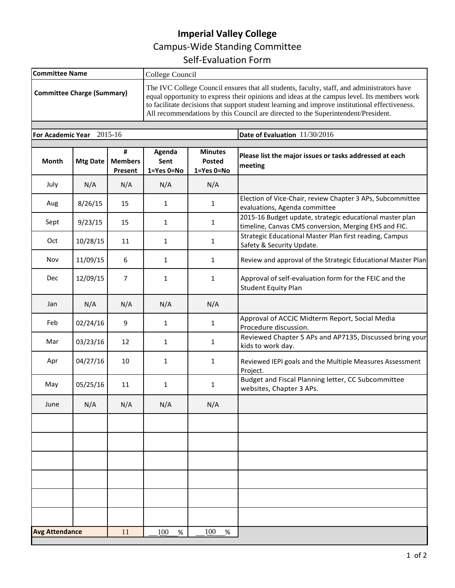## **Imperial Valley College** Campus-Wide Standing Committee Self-Evaluation Form

| <b>Committee Name</b><br><b>Committee Charge (Summary)</b> |                 |                                | College Council<br>The IVC College Council ensures that all students, faculty, staff, and administrators have<br>equal opportunity to express their opinions and ideas at the campus level. Its members work<br>to facilitate decisions that support student learning and improve institutional effectiveness.<br>All recommendations by this Council are directed to the Superintendent/President. |                                        |                                                                                                                   |  |
|------------------------------------------------------------|-----------------|--------------------------------|-----------------------------------------------------------------------------------------------------------------------------------------------------------------------------------------------------------------------------------------------------------------------------------------------------------------------------------------------------------------------------------------------------|----------------------------------------|-------------------------------------------------------------------------------------------------------------------|--|
|                                                            |                 |                                |                                                                                                                                                                                                                                                                                                                                                                                                     |                                        |                                                                                                                   |  |
| Month                                                      | <b>Mtg Date</b> | #<br><b>Members</b><br>Present | Agenda<br>Sent<br>1=Yes 0=No                                                                                                                                                                                                                                                                                                                                                                        | <b>Minutes</b><br>Posted<br>1=Yes 0=No | Please list the major issues or tasks addressed at each<br>meeting                                                |  |
| July                                                       | N/A             | N/A                            | N/A                                                                                                                                                                                                                                                                                                                                                                                                 | N/A                                    |                                                                                                                   |  |
| Aug                                                        | 8/26/15         | 15                             | $\mathbf{1}$                                                                                                                                                                                                                                                                                                                                                                                        | $\mathbf{1}$                           | Election of Vice-Chair, review Chapter 3 APs, Subcommittee<br>evaluations, Agenda committee                       |  |
| Sept                                                       | 9/23/15         | 15                             | $\mathbf{1}$                                                                                                                                                                                                                                                                                                                                                                                        | $\mathbf{1}$                           | 2015-16 Budget update, strategic educational master plan<br>timeline, Canvas CMS conversion, Merging EHS and FIC. |  |
| Oct                                                        | 10/28/15        | 11                             | 1                                                                                                                                                                                                                                                                                                                                                                                                   | 1                                      | Strategic Educational Master Plan first reading, Campus<br>Safety & Security Update.                              |  |
| Nov                                                        | 11/09/15        | 6                              | 1                                                                                                                                                                                                                                                                                                                                                                                                   | 1                                      | Review and approval of the Strategic Educational Master Plan                                                      |  |
| Dec                                                        | 12/09/15        | $\overline{7}$                 | $\mathbf{1}$                                                                                                                                                                                                                                                                                                                                                                                        | 1                                      | Approval of self-evaluation form for the FEIC and the<br><b>Student Equity Plan</b>                               |  |
| Jan                                                        | N/A             | N/A                            | N/A                                                                                                                                                                                                                                                                                                                                                                                                 | N/A                                    |                                                                                                                   |  |
| Feb                                                        | 02/24/16        | 9                              | $\mathbf{1}$                                                                                                                                                                                                                                                                                                                                                                                        | 1                                      | Approval of ACCJC Midterm Report, Social Media<br>Procedure discussion.                                           |  |
| Mar                                                        | 03/23/16        | 12                             | $\mathbf{1}$                                                                                                                                                                                                                                                                                                                                                                                        | 1                                      | Reviewed Chapter 5 APs and AP7135, Discussed bring your<br>kids to work day.                                      |  |
| Apr                                                        | 04/27/16        | 10                             | $\mathbf{1}$                                                                                                                                                                                                                                                                                                                                                                                        | 1                                      | Reviewed IEPI goals and the Multiple Measures Assessment<br>Project.                                              |  |
| May                                                        | 05/25/16        | 11                             | $\mathbf{1}$                                                                                                                                                                                                                                                                                                                                                                                        | 1                                      | Budget and Fiscal Planning letter, CC Subcommittee<br>websites, Chapter 3 APs.                                    |  |
| June                                                       | N/A             | N/A                            | N/A                                                                                                                                                                                                                                                                                                                                                                                                 | N/A                                    |                                                                                                                   |  |
|                                                            |                 |                                |                                                                                                                                                                                                                                                                                                                                                                                                     |                                        |                                                                                                                   |  |
|                                                            |                 |                                |                                                                                                                                                                                                                                                                                                                                                                                                     |                                        |                                                                                                                   |  |
|                                                            |                 |                                |                                                                                                                                                                                                                                                                                                                                                                                                     |                                        |                                                                                                                   |  |
|                                                            |                 |                                |                                                                                                                                                                                                                                                                                                                                                                                                     |                                        |                                                                                                                   |  |
|                                                            |                 |                                |                                                                                                                                                                                                                                                                                                                                                                                                     |                                        |                                                                                                                   |  |
|                                                            |                 |                                |                                                                                                                                                                                                                                                                                                                                                                                                     |                                        |                                                                                                                   |  |
| <b>Avg Attendance</b>                                      |                 | 11                             | 100<br>$\%$                                                                                                                                                                                                                                                                                                                                                                                         | 100<br>$\%$                            |                                                                                                                   |  |